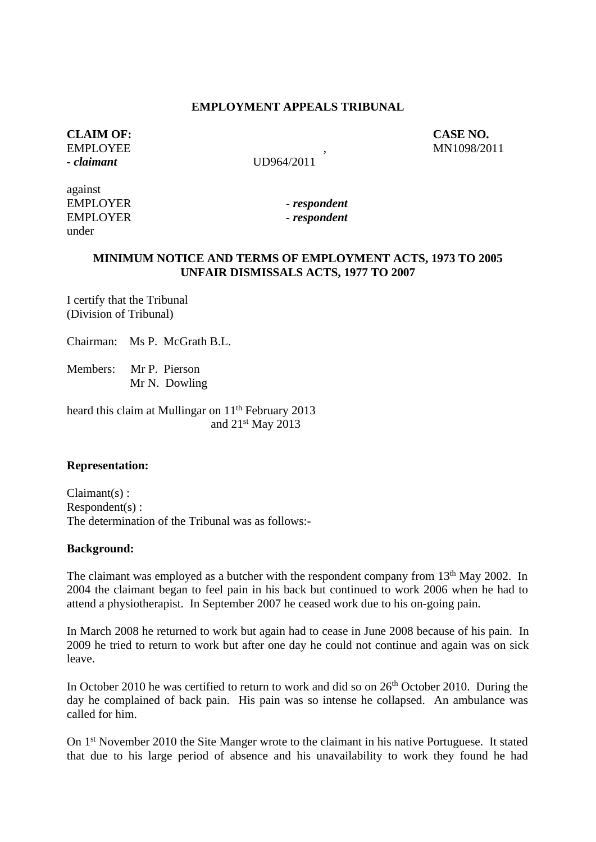#### **EMPLOYMENT APPEALS TRIBUNAL**

# **CLAIM OF:** CASE NO.<br>
EMPLOYEE MNIO98/20 *- claimant* UD964/2011

EMPLOYEE , MN1098/2011

against EMPLOYER *- respondent* EMPLOYER *- respondent* under

# **MINIMUM NOTICE AND TERMS OF EMPLOYMENT ACTS, 1973 TO 2005 UNFAIR DISMISSALS ACTS, 1977 TO 2007**

I certify that the Tribunal (Division of Tribunal)

Chairman: Ms P. McGrath B.L.

Members: Mr P. Pierson Mr N. Dowling

heard this claim at Mullingar on 11<sup>th</sup> February 2013 and 21st May 2013

### **Representation:**

Claimant(s) : Respondent(s) : The determination of the Tribunal was as follows:-

#### **Background:**

The claimant was employed as a butcher with the respondent company from  $13<sup>th</sup>$  May 2002. In 2004 the claimant began to feel pain in his back but continued to work 2006 when he had to attend a physiotherapist. In September 2007 he ceased work due to his on-going pain.

In March 2008 he returned to work but again had to cease in June 2008 because of his pain. In 2009 he tried to return to work but after one day he could not continue and again was on sick leave.

In October 2010 he was certified to return to work and did so on  $26<sup>th</sup>$  October 2010. During the day he complained of back pain. His pain was so intense he collapsed. An ambulance was called for him.

On 1st November 2010 the Site Manger wrote to the claimant in his native Portuguese. It stated that due to his large period of absence and his unavailability to work they found he had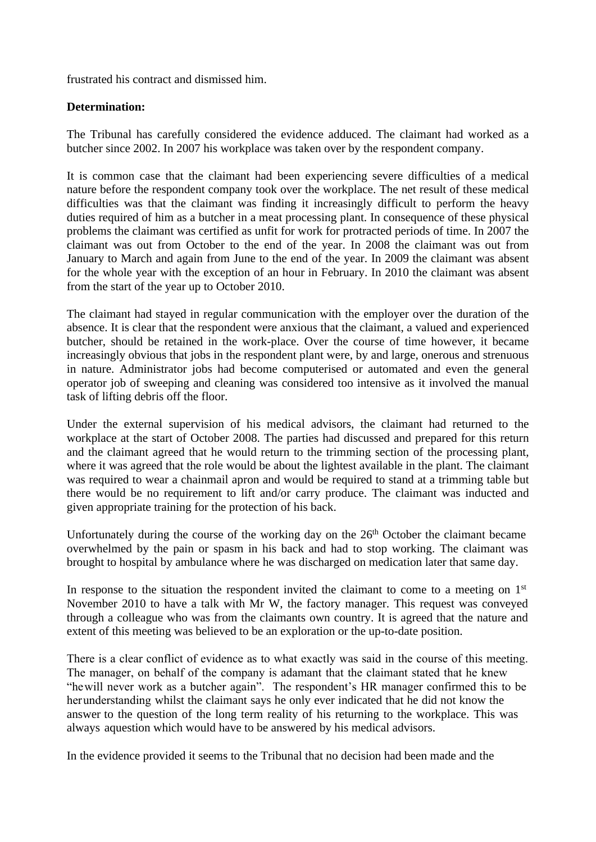frustrated his contract and dismissed him.

# **Determination:**

The Tribunal has carefully considered the evidence adduced. The claimant had worked as a butcher since 2002. In 2007 his workplace was taken over by the respondent company.

It is common case that the claimant had been experiencing severe difficulties of a medical nature before the respondent company took over the workplace. The net result of these medical difficulties was that the claimant was finding it increasingly difficult to perform the heavy duties required of him as a butcher in a meat processing plant. In consequence of these physical problems the claimant was certified as unfit for work for protracted periods of time. In 2007 the claimant was out from October to the end of the year. In 2008 the claimant was out from January to March and again from June to the end of the year. In 2009 the claimant was absent for the whole year with the exception of an hour in February. In 2010 the claimant was absent from the start of the year up to October 2010.

The claimant had stayed in regular communication with the employer over the duration of the absence. It is clear that the respondent were anxious that the claimant, a valued and experienced butcher, should be retained in the work-place. Over the course of time however, it became increasingly obvious that jobs in the respondent plant were, by and large, onerous and strenuous in nature. Administrator jobs had become computerised or automated and even the general operator job of sweeping and cleaning was considered too intensive as it involved the manual task of lifting debris off the floor.

Under the external supervision of his medical advisors, the claimant had returned to the workplace at the start of October 2008. The parties had discussed and prepared for this return and the claimant agreed that he would return to the trimming section of the processing plant, where it was agreed that the role would be about the lightest available in the plant. The claimant was required to wear a chainmail apron and would be required to stand at a trimming table but there would be no requirement to lift and/or carry produce. The claimant was inducted and given appropriate training for the protection of his back.

Unfortunately during the course of the working day on the  $26<sup>th</sup>$  October the claimant became overwhelmed by the pain or spasm in his back and had to stop working. The claimant was brought to hospital by ambulance where he was discharged on medication later that same day.

In response to the situation the respondent invited the claimant to come to a meeting on  $1<sup>st</sup>$ November 2010 to have a talk with Mr W, the factory manager. This request was conveyed through a colleague who was from the claimants own country. It is agreed that the nature and extent of this meeting was believed to be an exploration or the up-to-date position.

There is a clear conflict of evidence as to what exactly was said in the course of this meeting. The manager, on behalf of the company is adamant that the claimant stated that he knew "hewill never work as a butcher again". The respondent's HR manager confirmed this to be herunderstanding whilst the claimant says he only ever indicated that he did not know the answer to the question of the long term reality of his returning to the workplace. This was always aquestion which would have to be answered by his medical advisors.

In the evidence provided it seems to the Tribunal that no decision had been made and the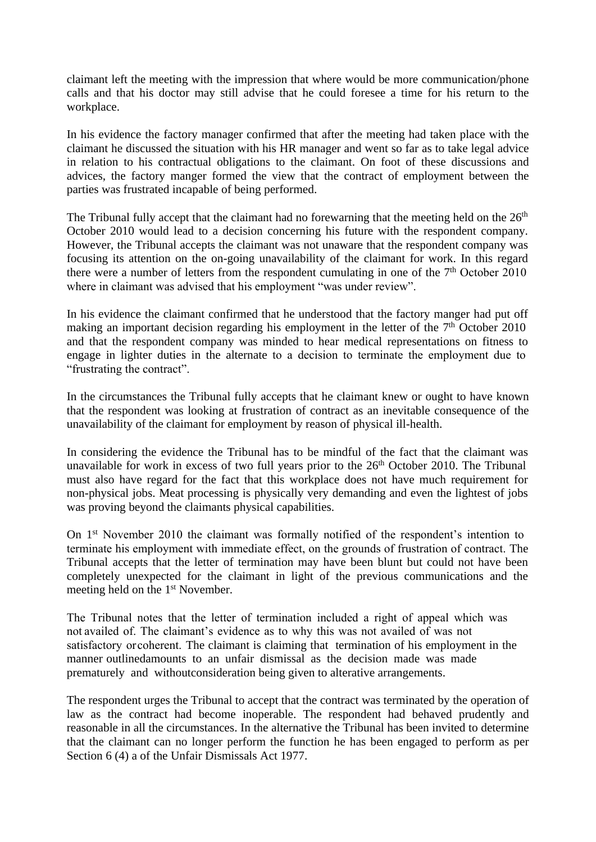claimant left the meeting with the impression that where would be more communication/phone calls and that his doctor may still advise that he could foresee a time for his return to the workplace.

In his evidence the factory manager confirmed that after the meeting had taken place with the claimant he discussed the situation with his HR manager and went so far as to take legal advice in relation to his contractual obligations to the claimant. On foot of these discussions and advices, the factory manger formed the view that the contract of employment between the parties was frustrated incapable of being performed.

The Tribunal fully accept that the claimant had no forewarning that the meeting held on the  $26<sup>th</sup>$ October 2010 would lead to a decision concerning his future with the respondent company. However, the Tribunal accepts the claimant was not unaware that the respondent company was focusing its attention on the on-going unavailability of the claimant for work. In this regard there were a number of letters from the respondent cumulating in one of the  $7<sup>th</sup>$  October 2010 where in claimant was advised that his employment "was under review".

In his evidence the claimant confirmed that he understood that the factory manger had put off making an important decision regarding his employment in the letter of the  $7<sup>th</sup>$  October 2010 and that the respondent company was minded to hear medical representations on fitness to engage in lighter duties in the alternate to a decision to terminate the employment due to "frustrating the contract".

In the circumstances the Tribunal fully accepts that he claimant knew or ought to have known that the respondent was looking at frustration of contract as an inevitable consequence of the unavailability of the claimant for employment by reason of physical ill-health.

In considering the evidence the Tribunal has to be mindful of the fact that the claimant was unavailable for work in excess of two full years prior to the  $26<sup>th</sup>$  October 2010. The Tribunal must also have regard for the fact that this workplace does not have much requirement for non-physical jobs. Meat processing is physically very demanding and even the lightest of jobs was proving beyond the claimants physical capabilities.

On 1st November 2010 the claimant was formally notified of the respondent's intention to terminate his employment with immediate effect, on the grounds of frustration of contract. The Tribunal accepts that the letter of termination may have been blunt but could not have been completely unexpected for the claimant in light of the previous communications and the meeting held on the 1<sup>st</sup> November.

The Tribunal notes that the letter of termination included a right of appeal which was not availed of. The claimant's evidence as to why this was not availed of was not satisfactory orcoherent. The claimant is claiming that termination of his employment in the manner outlinedamounts to an unfair dismissal as the decision made was made prematurely and withoutconsideration being given to alterative arrangements.

The respondent urges the Tribunal to accept that the contract was terminated by the operation of law as the contract had become inoperable. The respondent had behaved prudently and reasonable in all the circumstances. In the alternative the Tribunal has been invited to determine that the claimant can no longer perform the function he has been engaged to perform as per Section 6 (4) a of the Unfair Dismissals Act 1977.